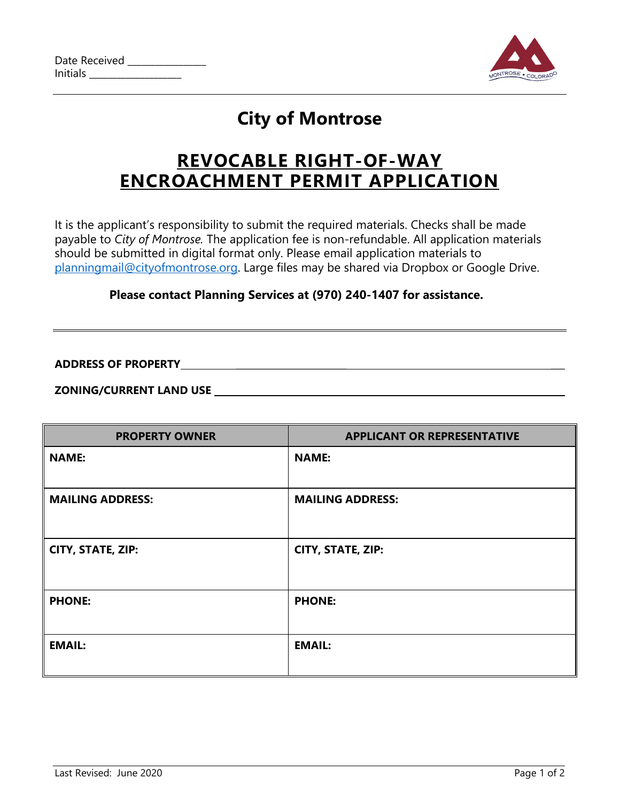

# **City of Montrose**

# **REVOCABLE RIGHT-OF-WAY ENCROACHMENT PERMIT APPLICATION**

It is the applicant's responsibility to submit the required materials. Checks shall be made payable to *City of Montrose.* The application fee is non-refundable. All application materials should be submitted in digital format only. Please email application materials to [planningmail@cityofmontrose.org.](mailto:planningmail@cityofmontrose.org) Large files may be shared via Dropbox or Google Drive.

### **Please contact Planning Services at (970) 240-1407 for assistance.**

**ADDRESS OF PROPERTY** \_\_\_\_\_\_\_\_\_\_\_\_\_\_\_\_\_\_\_\_\_\_\_\_ \_\_\_

**ZONING/CURRENT LAND USE** 

| <b>PROPERTY OWNER</b>   | <b>APPLICANT OR REPRESENTATIVE</b> |
|-------------------------|------------------------------------|
| <b>NAME:</b>            | <b>NAME:</b>                       |
| <b>MAILING ADDRESS:</b> | <b>MAILING ADDRESS:</b>            |
| CITY, STATE, ZIP:       | CITY, STATE, ZIP:                  |
| <b>PHONE:</b>           | <b>PHONE:</b>                      |
| <b>EMAIL:</b>           | <b>EMAIL:</b>                      |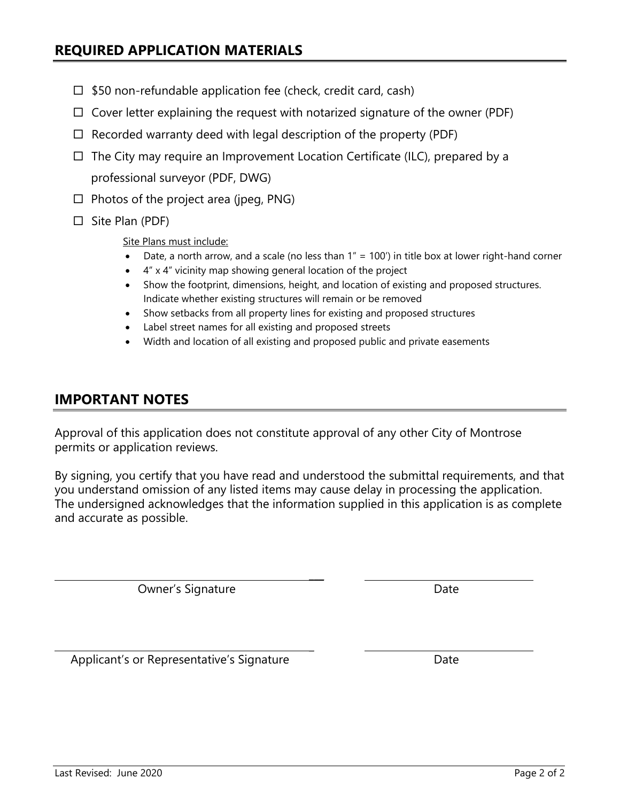Owner's Signature

Applicant's or Representative's Signature

By signing, you certify that you have read and understood the submittal requirements, and that you understand omission of any listed items may cause delay in processing the application. The undersigned acknowledges that the information supplied in this application is as complete and accurate as possible.

 $\overline{\phantom{a}}$ 

\_

Approval of this application does not constitute approval of any other City of Montrose permits or application reviews.

- 4" x 4" vicinity map showing general location of the project
- Show the footprint, dimensions, height, and location of existing and proposed structures.
- 
- 
- 
- $\Box$  \$50 non-refundable application fee (check, credit card, cash)
- $\Box$  Cover letter explaining the request with notarized signature of the owner (PDF)
- $\Box$  Recorded warranty deed with legal description of the property (PDF)
- $\Box$  The City may require an Improvement Location Certificate (ILC), prepared by a

professional surveyor (PDF, DWG)  $\Box$  Photos of the project area (jpeg, PNG)

 $\Box$  Site Plan (PDF)

**IMPORTANT NOTES**

Site Plans must include:

- Date, a north arrow, and a scale (no less than  $1'' = 100'$ ) in title box at lower right-hand corner
	-
	- Indicate whether existing structures will remain or be removed
	- Show setbacks from all property lines for existing and proposed structures
	- Label street names for all existing and proposed streets
	- Width and location of all existing and proposed public and private easements

Date

Date